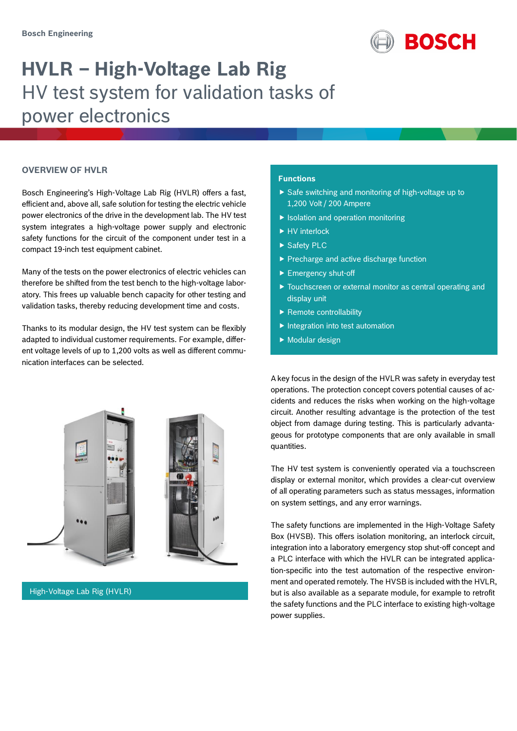

# **HVLR – High-Voltage Lab Rig** HV test system for validation tasks of power electronics

### **OVERVIEW OF HVLR**

Bosch Engineering's High-Voltage Lab Rig (HVLR) offers a fast, efficient and, above all, safe solution for testing the electric vehicle power electronics of the drive in the development lab. The HV test system integrates a high-voltage power supply and electronic safety functions for the circuit of the component under test in a compact 19-inch test equipment cabinet.

Many of the tests on the power electronics of electric vehicles can therefore be shifted from the test bench to the high-voltage laboratory. This frees up valuable bench capacity for other testing and validation tasks, thereby reducing development time and costs.

Thanks to its modular design, the HV test system can be flexibly adapted to individual customer requirements. For example, different voltage levels of up to 1,200 volts as well as different communication interfaces can be selected.



High-Voltage Lab Rig (HVLR)

### **Functions**

- $\triangleright$  Safe switching and monitoring of high-voltage up to 1,200 Volt / 200 Ampere
- $\blacktriangleright$  Isolation and operation monitoring
- ▶ HV interlock
- ▶ Safety PLC
- Precharge and active discharge function
- Emergency shut-off
- Touchscreen or external monitor as central operating and display unit
- $\blacktriangleright$  Remote controllability
- $\blacktriangleright$  Integration into test automation
- $\blacktriangleright$  Modular design

A key focus in the design of the HVLR was safety in everyday test operations. The protection concept covers potential causes of accidents and reduces the risks when working on the high-voltage circuit. Another resulting advantage is the protection of the test object from damage during testing. This is particularly advantageous for prototype components that are only available in small quantities.

The HV test system is conveniently operated via a touchscreen display or external monitor, which provides a clear-cut overview of all operating parameters such as status messages, information on system settings, and any error warnings.

The safety functions are implemented in the High-Voltage Safety Box (HVSB). This offers isolation monitoring, an interlock circuit, integration into a laboratory emergency stop shut-off concept and a PLC interface with which the HVLR can be integrated application-specific into the test automation of the respective environment and operated remotely. The HVSB is included with the HVLR, but is also available as a separate module, for example to retrofit the safety functions and the PLC interface to existing high-voltage power supplies.